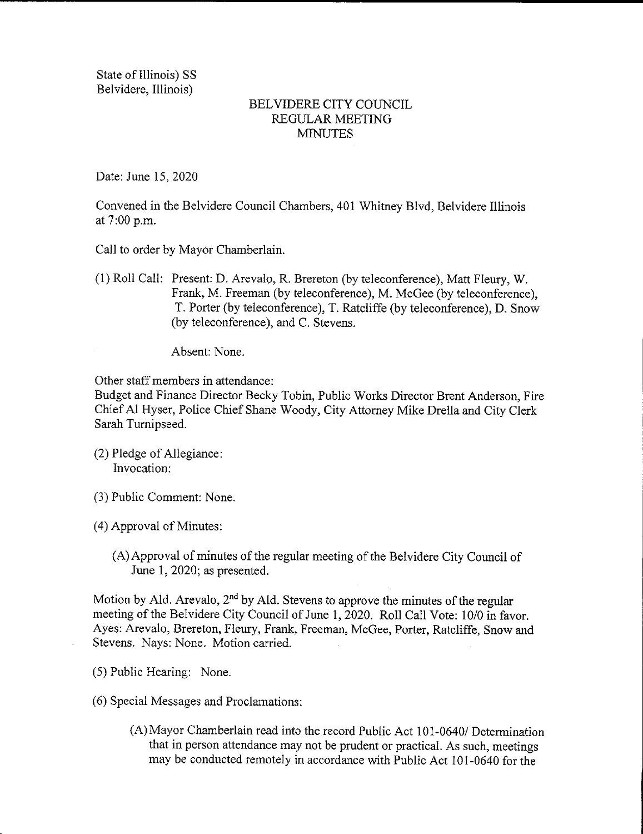State of Illinois) SS Belvidere, Illinois)

## BELVIDERE CITY COUNCIL REGULAR MEETING **MINUTES**

Date: June 15, 2020

Convened in the Belvidere Council Chambers, 401 Whitney Blvd, Belvidere Illinois at 7:00 p.m.

Call to order by Mayor Chamberlain.

1) Roll Call: Present: D. Arevalo, R. Brereton ( by teleconference), Matt Fleury, W. Frank, M. Freeman (by teleconference), M. McGee (by teleconference), T. Porter( by teleconference), T. Ratcliffe ( by teleconference), D. Snow by teleconference), and C. Stevens.

Absent: None.

Other staff members in attendance:

Budget and Finance Director Becky Tobin, Public Works Director Brent Anderson, Fire Chief Al Hyser, Police Chief Shane Woody, City Attorney Mike Drella and City Clerk Sarah Tumipseed.

- 2) Pledge of Allegiance: Invocation:
- 3) Public Comment: None.
- 4) Approval of Minutes:
	- A)Approval of minutes of the regular meeting of the Belvidere City Council of June 1, 2020; as presented.

Motion by Ald. Arevalo,  $2<sup>nd</sup>$  by Ald. Stevens to approve the minutes of the regular meeting of the Belvidere City Council of June 1, 2020. Roll Call Vote: 10/0 in favor. Ayes: Arevalo, Brereton, Fleury, Frank, Freeman, McGee, Porter, Ratcliffe, Snow and Stevens. Nays: None, Motion carried.

- 5) Public Hearing: None.
- 6) Special Messages and Proclamations:
	- A) Mayor Chamberlain read into the record Public Act 101- 0640/ Determination that in person attendance may not be prudent or practical. As such, meetings may be conducted remotely in accordance with Public Act 101-0640 for the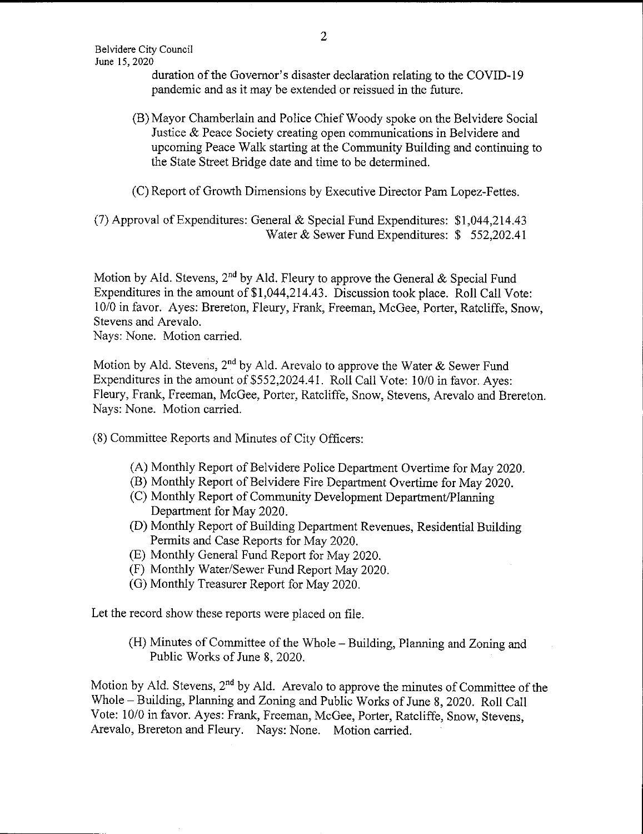duration of the Governor's disaster declaration relating to the COVID-19 pandemic and as it may be extended or reissued in the future.

- B) Mayor Chamberlain and Police Chief Woody spoke on the Belvidere Social Justice & Peace Society creating open communications in Belvidere and upcoming Peace Walk starting at the Community Building and continuing to the State Street Bridge date and time to be determined.
- C) Report of Growth Dimensions by Executive Director Pam Lopez- Fettes.

(7) Approval of Expenditures: General & Special Fund Expenditures:  $$1,044,214.43$ Water & Sewer Fund Expenditures: \$ 552,202.41

Motion by Ald. Stevens, 2<sup>nd</sup> by Ald. Fleury to approve the General & Special Fund Expenditures in the amount of \$1,044, 214.43. Discussion took place. Roll Call Vote: 10/0 in favor. Ayes: Brereton, Fleury, Frank, Freeman, McGee, Porter, Ratcliffe, Snow, Stevens and Arevalo.

Nays: None. Motion carried.

Motion by Ald. Stevens, 2<sup>nd</sup> by Ald. Arevalo to approve the Water & Sewer Fund Expenditures in the amount of \$552,2024.41. Roll Call Vote: 10/0 in favor. Ayes: Fleury, Frank, Freeman, McGee, Porter, Ratcliffe, Snow, Stevens, Arevalo and Brereton. Nays: None. Motion carried.

8) Committee Reports and Minutes of City Officers:

- A) Monthly Report of Belvidere Police Department Overtime for May 2020.
- B) Monthly Report of Belvidere Fire Department Overtime for May 2020.
- C) Monthly Report of Community Development Department/Planning Department for May 2020.
- D) Monthly Report of Building Department Revenues, Residential Building Permits and Case Reports for May 2020.
- E) Monthly General Fund Report for May 2020.
- (F) Monthly Water/Sewer Fund Report May 2020.
- G) Monthly Treasurer Report for May 2020.

Let the record show these reports were placed on file.

H) Minutes of Committee of the Whole— Building, Planning and Zoning and Public Works of June 8, 2020.

Motion by Ald. Stevens,  $2<sup>nd</sup>$  by Ald. Arevalo to approve the minutes of Committee of the Whole— Building, Planning and Zoning and Public Works of June 8, 2020. Roll Call Vote: 10/0 in favor. Ayes: Frank, Freeman, McGee, Porter, Ratcliffe, Snow, Stevens, Arevalo, Brereton and Fleury. Nays: None. Motion carried.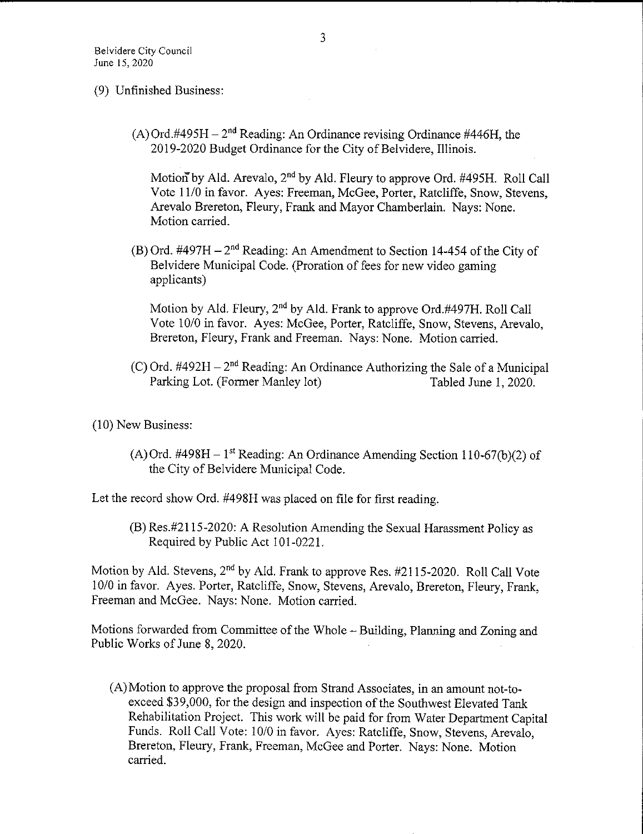- 9) Unfinished Business:
	- $(A)$  Ord.#495H 2<sup>nd</sup> Reading: An Ordinance revising Ordinance #446H, the 2019-2020 Budget Ordinance for the City of Belvidere, Illinois.

Motion<sup>t</sup> by Ald. Arevalo,  $2<sup>nd</sup>$  by Ald. Fleury to approve Ord. #495H. Roll Call Vote 11/0 in favor. Ayes: Freeman, McGee, Porter, Ratcliffe, Snow, Stevens, Arevalo Brereton, Fleury, Frank and Mayor Chamberlain. Nays: None. Motion carried.

(B) Ord.  $\text{\#497H} - 2^{\text{nd}}$  Reading: An Amendment to Section 14-454 of the City of Belvidere Municipal Code. ( Proration of fees for new video gaming applicants)

Motion by Ald. Fleury,  $2<sup>nd</sup>$  by Ald. Frank to approve Ord.#497H. Roll Call Vote 10/0 in favor. Ayes: McGee, Porter, Ratcliffe, Snow, Stevens, Arevalo, Brereton, Fleury, Frank and Freeman. Nays: None. Motion carried.

(C) Ord. #492H  $-2^{nd}$  Reading: An Ordinance Authorizing the Sale of a Municipal<br>Parking Lot. (Former Manley lot) Tabled June 1, 2020. Parking Lot. (Former Manley lot)

10) New Business:

(A) Ord. #498H – 1<sup>st</sup> Reading: An Ordinance Amending Section 110-67(b)(2) of the City of Belvidere Municipal Code.

Let the record show Ord. #498H was placed on file for first reading.

B) Res.# 2115- 2020: A Resolution Amending the Sexual Harassment Policy as Required by Public Act 101-0221.

Motion by Ald. Stevens,  $2<sup>nd</sup>$  by Ald. Frank to approve Res.  $#2115-2020$ . Roll Call Vote 10/0 in favor. Ayes. Porter, Ratcliffe, Snow, Stevens, Arevalo, Brereton, Fleury, Frank, Freeman and McGee. Nays: None. Motion carried.

Motions forwarded from Committee of the Whole— Building, Planning and Zoning and Public Works of June 8, 2020.

A) Motion to approve the proposal from Strand Associates, in an amount not-toexceed \$39,000, for the design and inspection of the Southwest Elevated Tank Rehabilitation Project. This work will be paid for from Water Department Capital Funds. Roll Call Vote: 10/0 in favor. Ayes: Ratcliffe, Snow, Stevens, Arevalo, Brereton, Fleury, Frank, Freeman, McGee and Porter. Nays: None. Motion carried.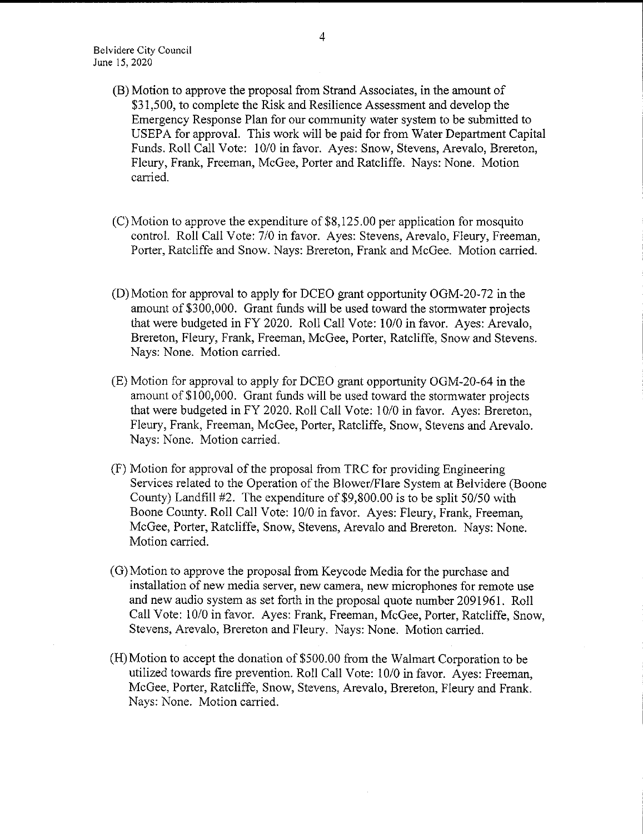- B) Motion to approve the proposal from Strand Associates, in the amount of 31, 500, to complete the Risk and Resilience Assessment and develop the Emergency Response Plan for our community water system to be submitted to USEPA for approval. This work will be paid for from Water Department Capital Funds. Roll Call Vote: 10/0 in favor. Ayes: Snow, Stevens, Arevalo, Brereton, Fleury, Frank, Freeman, McGee, Porter and Ratcliffe. Nays: None. Motion carried.
- $(C)$  Motion to approve the expenditure of \$8,125.00 per application for mosquito control. Roll Call Vote: 7/0 in favor. Ayes: Stevens, Arevalo, Fleury, Freeman, Porter, Ratcliffe and Snow. Nays: Brereton, Frank and McGee. Motion carried.
- D) Motion for approval to apply for DCEO grant opportunity OGM-20- 72 in the amount of \$300,000. Grant funds will be used toward the stormwater projects that were budgeted in FY 2020. Roll Call Vote: 10/0 in favor. Ayes: Arevalo, Brereton, Fleury, Frank, Freeman, McGee, Porter, Ratcliffe, Snow and Stevens. Nays: None. Motion carried.
- (E) Motion for approval to apply for DCEO grant opportunity OGM-20-64 in the amount of \$100,000. Grant funds will be used toward the stormwater projects that were budgeted in FY 2020. Roll Call Vote: 10/0 in favor. Ayes: Brereton, Fleury, Frank, Freeman, McGee, Porter, Ratcliffe, Snow, Stevens and Arevalo. Nays: None. Motion carried.
- F) Motion for approval of the proposal from TRC for providing Engineering Services related to the Operation of the Blower/Flare System at Belvidere (Boone County) Landfill  $#2$ . The expenditure of \$9,800.00 is to be split 50/50 with Boone County. Roll Call Vote: 10/0 in favor. Ayes: Fleury, Frank, Freeman, McGee, Porter, Ratcliffe, Snow, Stevens, Arevalo and Brereton. Nays: None. Motion carried.
- (G) Motion to approve the proposal from Keycode Media for the purchase and installation of new media server, new camera, new microphones for remote use and new audio system as set forth in the proposal quote number 2091961. Roll Call Vote: 10/0 in favor. Ayes: Frank, Freeman, McGee, Porter, Ratcliffe, Snow, Stevens, Arevalo, Brereton and Fleury. Nays: None. Motion carried.
- H) Motion to accept the donation of\$500. 00 from the Walmart Corporation to be utilized towards fire prevention. Roll Call Vote: 10/0 in favor. Ayes: Freeman, McGee, Porter, Ratcliffe, Snow, Stevens, Arevalo, Brereton, Fleury and Frank. Nays: None. Motion carried.